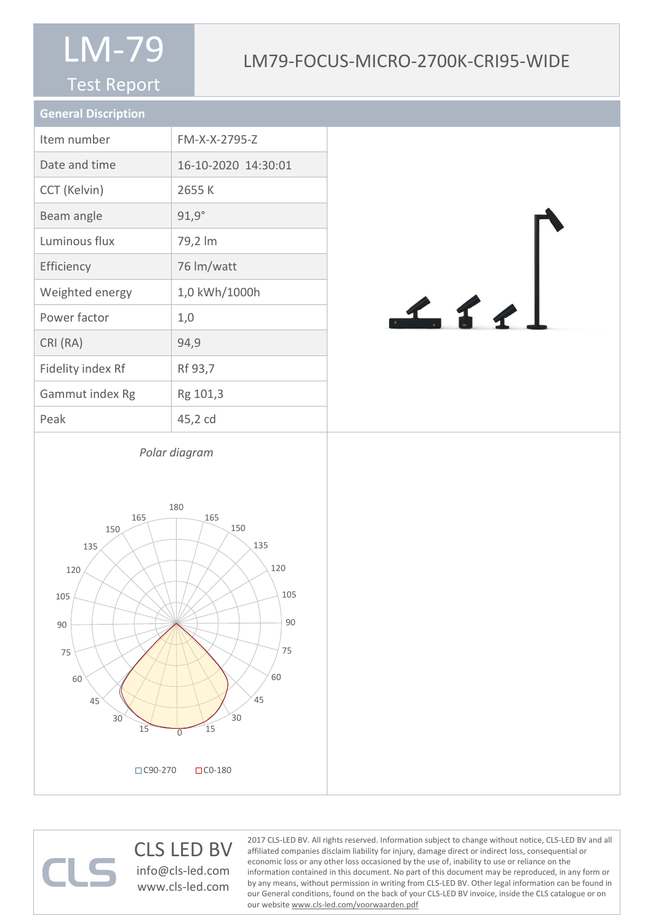#### Test Report

## LM79-FOCUS-MICRO-2700K-CRI95-WIDE

| <b>General Discription</b> |                     |
|----------------------------|---------------------|
| Item number                | FM-X-X-2795-Z       |
| Date and time              | 16-10-2020 14:30:01 |
| CCT (Kelvin)               | 2655 K              |
| Beam angle                 | $91,9^\circ$        |
| Luminous flux              | 79,2 lm             |
| Efficiency                 | 76 lm/watt          |
| Weighted energy            | 1,0 kWh/1000h       |
| Power factor               | 1,0                 |
| CRI (RA)                   | 94,9                |
| Fidelity index Rf          | Rf 93,7             |
| Gammut index Rg            | Rg 101,3            |
| Peak                       | 45,2 cd             |



*Polar diagram*



CLS LED BV info@cls-led.com www.cls-led.com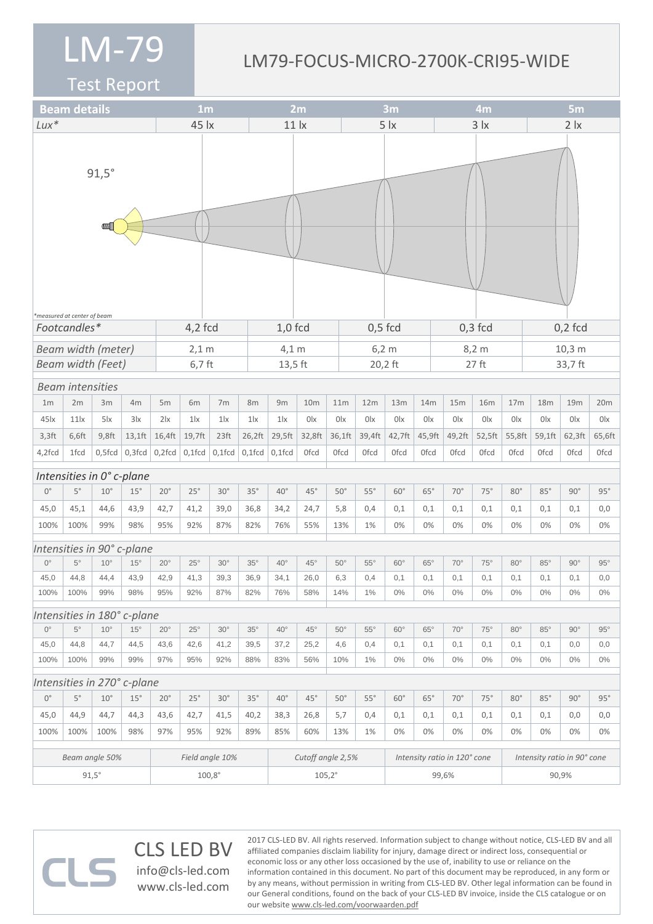#### LM79-FOCUS-MICRO-2700K-CRI95-WIDE

Test Report

|                             | <b>Beam details</b>        |              |                             |               | 1 <sub>m</sub>  |                   |              | 2m              |                 |             | 3m                           |              |             |             | 4m             |                             |             |             | 5 <sub>m</sub> |              |                  |  |
|-----------------------------|----------------------------|--------------|-----------------------------|---------------|-----------------|-------------------|--------------|-----------------|-----------------|-------------|------------------------------|--------------|-------------|-------------|----------------|-----------------------------|-------------|-------------|----------------|--------------|------------------|--|
| $Lux*$                      |                            |              |                             |               | 45 lx           |                   |              | 11 <sub>x</sub> |                 |             | 5 <i>x</i>                   |              |             |             | $3 \mid x$     |                             |             |             | $2 \mid x$     |              |                  |  |
|                             | measured at center of beam | $91,5^\circ$ |                             |               |                 |                   |              |                 |                 |             |                              |              |             |             |                |                             |             |             |                |              |                  |  |
| Footcandles*<br>4,2 fcd     |                            |              |                             |               |                 |                   |              | $1,0$ fcd       |                 |             | $0,5$ fcd                    |              |             |             | $0,3$ fcd      |                             |             |             | $0,2$ fcd      |              |                  |  |
|                             | Beam width (meter)         |              |                             |               | $2,1$ m         |                   |              | $4,1 \text{ m}$ |                 |             | $6,2 \text{ m}$              |              |             |             |                |                             | 8,2 m       | 10,3 m      |                |              |                  |  |
|                             | <b>Beam width (Feet)</b>   |              |                             |               | $6,7$ ft        |                   |              | 13,5 ft         |                 |             |                              | 20,2 ft      |             |             |                |                             | $27$ ft     |             | 33,7 ft        |              |                  |  |
|                             | <b>Beam intensities</b>    |              |                             |               |                 |                   |              |                 |                 |             |                              |              |             |             |                |                             |             |             |                |              |                  |  |
| 1 <sub>m</sub>              | 2m                         | 3m           | 4m                          | 5m            | 6m              | 7m                | 8m           | 9m              | 10 <sub>m</sub> |             | 11m                          | 12m          | 13m         | 14m         | 15m            |                             | <b>16m</b>  | 17m         | 18m            | 19m          | 20m              |  |
| 45 <sub>ix</sub>            | 11x                        | $5\text{lx}$ | 3x                          | $2\mathsf{x}$ | $1\text{lx}$    | $1\text{lx}$      | $1\text{lx}$ | $1\text{lx}$    | 0lx             | 0lx         |                              | 0lx          | 0lx         | 0lx         | 0 <sup>1</sup> |                             | 0lx         | 0lx         | 0lx            | 0lx          | 0lx              |  |
| $3,3$ ft                    | 6,6ft                      | $9,8$ ft     | $13,1$ ft                   | 16,4ft        | 19,7ft          | 23 <sup>ft</sup>  | 26,2ft       | 29,5ft          | 32,8ft          | 36,1ft      |                              | 39,4ft       | 42,7ft      | 45,9ft      | 49,2ft         |                             | 52,5ft      | 55,8ft      | 59,1ft         | 62,3ft       | 65,6ft           |  |
| 4,2fcd                      | 1fcd                       | $0,5$ fcd    | $0,3$ fcd                   | $0,2$ fcd     | $0,1$ fcd       | $0,1$ fcd         | $0,1$ fcd    | $0,1$ fcd       | <b>Ofcd</b>     | <b>Ofcd</b> |                              | <b>Ofcd</b>  | <b>Ofcd</b> | <b>Ofcd</b> | 0fcd           |                             | <b>Ofcd</b> | <b>Ofcd</b> | <b>Ofcd</b>    | <b>Ofcd</b>  | 0 <sub>fcd</sub> |  |
|                             |                            |              | Intensities in 0° c-plane   |               |                 |                   |              |                 |                 |             |                              |              |             |             |                |                             |             |             |                |              |                  |  |
| $0^{\circ}$                 | $5^{\circ}$                | $10^{\circ}$ | 15°                         | $20^{\circ}$  | $25^{\circ}$    | $30^\circ$        | $35^\circ$   | $40^{\circ}$    | $45^{\circ}$    | $50^\circ$  |                              | $55^\circ$   | $60^\circ$  | $65^\circ$  | $70^\circ$     |                             | $75^\circ$  | $80^\circ$  | $85^\circ$     | $90^\circ$   | $95^\circ$       |  |
| 45,0                        | 45,1                       | 44,6         | 43,9                        | 42,7          | 41,2            | 39,0              | 36,8         | 34,2            | 24,7            | 5,8         |                              | 0,4          | 0,1         | 0,1         | 0,1            |                             | 0,1         | 0,1         | 0,1            | 0,1          | 0,0              |  |
| 100%                        | 100%                       | 99%          | 98%                         | 95%           | 92%             | 87%               | 82%          | 76%             | 55%             |             | 13%                          | 1%           | 0%          | 0%          | 0%             |                             | 0%          | 0%          | 0%             | 0%           | 0%               |  |
|                             |                            |              | Intensities in 90° c-plane  |               |                 |                   |              |                 |                 |             |                              |              |             |             |                |                             |             |             |                |              |                  |  |
| $0^{\circ}$                 | $5^{\circ}$                | $10^{\circ}$ | $15^{\circ}$                | $20^{\circ}$  | $25^{\circ}$    | $30^\circ$        | $35^\circ$   | $40^{\circ}$    | $45^{\circ}$    |             | $50^\circ$                   | $55^{\circ}$ | $60^\circ$  | $65^\circ$  | $70^{\circ}$   |                             | $75^\circ$  | $80^\circ$  | $85^\circ$     | $90^\circ$   | $95^\circ$       |  |
| 45,0                        | 44,8                       | 44,4         | 43,9                        | 42,9          | 41,3            | 39,3              | 36,9         | 34,1            | 26,0            |             | 6,3                          | 0,4          | 0,1         | 0,1         | 0,1            |                             | 0,1         | 0,1         | 0,1            | 0,1          | 0,0              |  |
| 100%                        | 100%                       | 99%          | 98%                         | 95%           | 92%             | 87%               | 82%          | 76%             | 58%             |             | 14%                          | 1%           | $0\%$       | $0\%$       | $0\%$          |                             | $0\%$       | $0\%$       | $0\%$          | $0\%$        | $0\%$            |  |
|                             |                            |              | Intensities in 180° c-plane |               |                 |                   |              |                 |                 |             |                              |              |             |             |                |                             |             |             |                |              |                  |  |
| $0^{\circ}$                 | $5^{\circ}$                | $10^{\circ}$ | $15^{\circ}$                | $20^{\circ}$  | $25^{\circ}$    | $30^\circ$        | $35^\circ$   | $40^{\circ}$    | $45^{\circ}$    |             | $50^\circ$                   | $55^{\circ}$ | $60^\circ$  | $65^\circ$  | $70^{\circ}$   |                             | $75^\circ$  | $80^\circ$  | $85^\circ$     | $90^\circ$   | $95^\circ$       |  |
| 45,0                        | 44,8                       | 44,7         | 44,5                        | 43,6          | 42,6            | 41,2              | 39,5         | 37,2            | 25,2            |             | 4,6                          | 0,4          | 0,1         | 0,1         | 0,1            |                             | 0,1         | 0,1         | 0,1            | 0,0          | 0,0              |  |
| 100%                        | 100%                       | 99%          | 99%                         | 97%           | 95%             | 92%               | 88%          | 83%             | 56%             |             | 10%                          | $1\%$        | $0\%$       | $0\%$       | $0\%$          |                             | $0\%$       | $0\%$       | $0\%$          | $0\%$        | $0\%$            |  |
| Intensities in 270° c-plane |                            |              |                             |               |                 |                   |              |                 |                 |             |                              |              |             |             |                |                             |             |             |                |              |                  |  |
| $0^{\circ}$                 | $5^{\circ}$                | $10^{\circ}$ | 15°                         | $20^{\circ}$  | 25°             | $30^\circ$        | $35^\circ$   | $40^{\circ}$    | $45^{\circ}$    |             | $50^\circ$                   | $55^\circ$   | $60^\circ$  | $65^\circ$  | $70^{\circ}$   |                             | 75°         | $80^\circ$  | $85^\circ$     | $90^{\circ}$ | 95°              |  |
| 45,0                        | 44,9                       | 44,7         | 44,3                        | 43,6          | 42,7            | 41,5              | 40,2         | 38,3            | 26,8            |             | 5,7                          | 0,4          | 0,1         | 0,1         | 0,1            |                             | 0,1         | 0,1         | 0,1            | 0,0          | 0,0              |  |
| 100%                        | 100%                       | 100%         | 98%                         | 97%           | 95%             | 92%               | 89%          | 85%             | 60%             |             | 13%                          | 1%           | 0%          | 0%          | 0%             |                             | 0%          | $0\%$       | 0%             | 0%           | $0\%$            |  |
| Beam angle 50%              |                            |              |                             |               | Field angle 10% | Cutoff angle 2,5% |              |                 |                 |             | Intensity ratio in 120° cone |              |             |             |                | Intensity ratio in 90° cone |             |             |                |              |                  |  |
| $91,5^\circ$                |                            |              |                             | $100,8^\circ$ |                 |                   |              | $105,2^{\circ}$ |                 |             |                              |              | 99,6%       |             |                |                             |             | 90,9%       |                |              |                  |  |
|                             |                            |              |                             |               |                 |                   |              |                 |                 |             |                              |              |             |             |                |                             |             |             |                |              |                  |  |

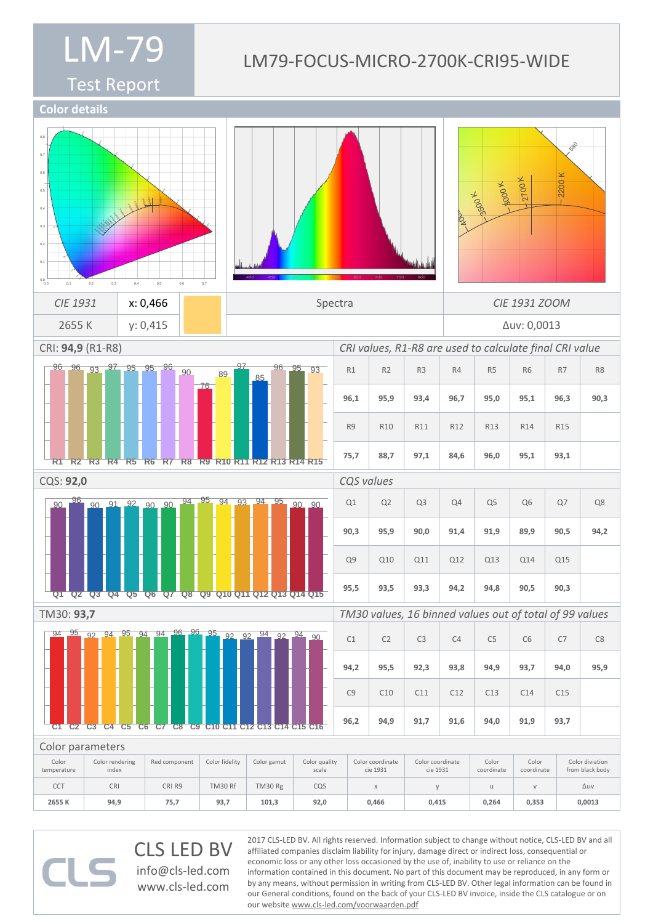# Test Report

# LM79-FOCUS-MICRO-2700K-CRI95-WIDE

570

**Color details**



CLS LED BV info@cls-led.com www.cls-led.com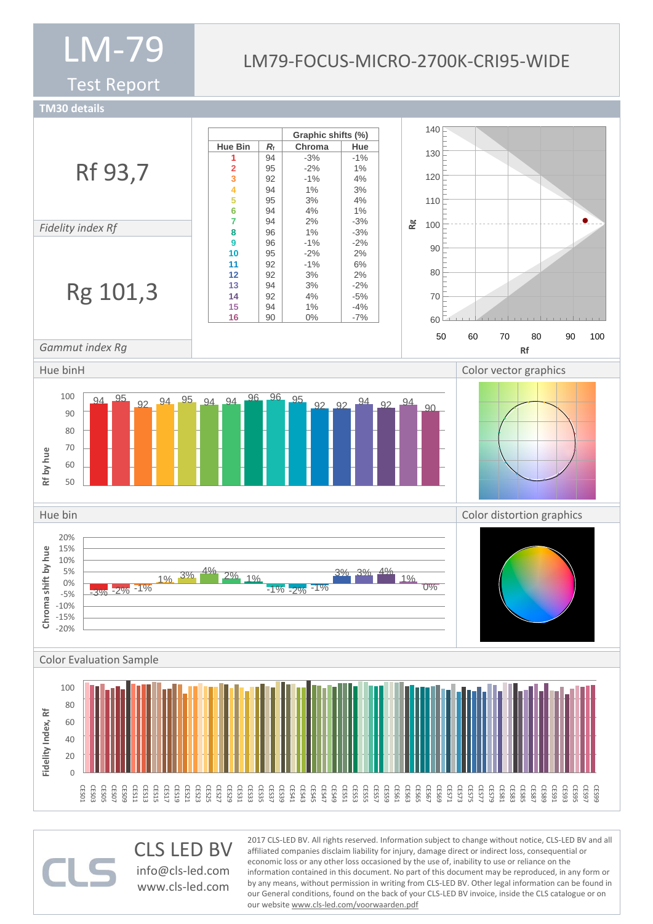Test Report

## LM79-FOCUS-MICRO-2700K-CRI95-WIDE

**TM30 details**



CLS LED BV info@cls-led.com www.cls-led.com